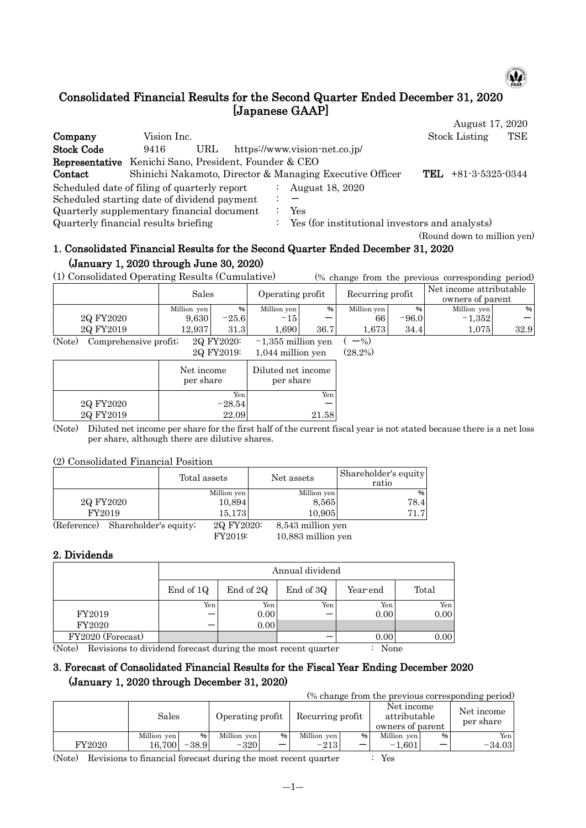

# Consolidated Financial Results for the Second Quarter Ended December 31, 2020 [Japanese GAAP]

|                                                       |             |     |  |                                                          | August 17, 2020             |     |
|-------------------------------------------------------|-------------|-----|--|----------------------------------------------------------|-----------------------------|-----|
| Company                                               | Vision Inc. |     |  |                                                          | <b>Stock Listing</b>        | TSE |
| <b>Stock Code</b>                                     | 9416        | URL |  | https://www.vision-net.co.jp/                            |                             |     |
| Representative Kenichi Sano, President, Founder & CEO |             |     |  |                                                          |                             |     |
| Contact                                               |             |     |  | Shinichi Nakamoto, Director & Managing Executive Officer | $+81-3-5325-0344$<br>TEL.   |     |
| Scheduled date of filing of quarterly report          |             |     |  | August 18, 2020                                          |                             |     |
| Scheduled starting date of dividend payment           |             |     |  |                                                          |                             |     |
| Quarterly supplementary financial document            |             |     |  | Yes                                                      |                             |     |
| Quarterly financial results briefing                  |             |     |  | Yes (for institutional investors and analysts)           |                             |     |
|                                                       |             |     |  |                                                          | (Round down to million yen) |     |

## 1. Consolidated Financial Results for the Second Quarter Ended December 31, 2020 (January 1, 2020 through June 30, 2020)

(1) Consolidated Operating Results (Cumulative) (% change from the previous corresponding period)

|                                 | Sales       |            | Operating profit     |      | Recurring profit |               | Net income attributable<br>owners of parent |      |
|---------------------------------|-------------|------------|----------------------|------|------------------|---------------|---------------------------------------------|------|
|                                 | Million yen | %          | Million yen          | %    | Million yen      | $\frac{9}{6}$ | Million yen                                 | %    |
| 2Q FY2020                       | 9.630       | $-25.6$    | $-15$                | –    | 66               | $-96.0$       | $-1,352$                                    | -    |
| 2Q FY2019                       | 12.937      | 31.3       | .690                 | 36.7 | 1.673            | 34.4          | 1,075                                       | 32.9 |
| (Note)<br>Comprehensive profit; |             | 2Q FY2020: | $-1,355$ million yen |      | $-$ %)           |               |                                             |      |

2Q FY2019: 1,044 million yen (28.2%)

|           | Net income<br>per share | Diluted net income<br>per share |  |  |
|-----------|-------------------------|---------------------------------|--|--|
|           | Yen                     | Yen                             |  |  |
| 2Q FY2020 | $-28.54$                |                                 |  |  |
| 2Q FY2019 | 22.09                   | 21.58                           |  |  |

(Note) Diluted net income per share for the first half of the current fiscal year is not stated because there is a net loss per share, although there are dilutive shares.

#### (2) Consolidated Financial Position

|             |                       | Total assets | Net assets        | Shareholder's equity<br>ratio |
|-------------|-----------------------|--------------|-------------------|-------------------------------|
|             |                       | Million yen  | Million yen       | $\%$                          |
|             | 2Q FY2020             | 10,894       | 8,565             | 78.4                          |
| FY2019      |                       | 15.173       | 10,905            | 71.7                          |
| (Reference) | Shareholder's equity; | 2Q FY2020:   | 8,543 million yen |                               |

FY2019: 10,883 million yen

## 2. Dividends

|                   |           | Annual dividend |           |          |       |  |  |  |  |  |  |  |
|-------------------|-----------|-----------------|-----------|----------|-------|--|--|--|--|--|--|--|
|                   | End of 1Q | End of 2Q       | End of 3Q | Year-end | Total |  |  |  |  |  |  |  |
|                   | Yen       | Yen             | Yen       | Yen      | Yen   |  |  |  |  |  |  |  |
| FY2019            |           | 0.00            |           | 0.00     | 0.00  |  |  |  |  |  |  |  |
| FY2020            |           | 0.00            |           |          |       |  |  |  |  |  |  |  |
| FY2020 (Forecast) |           |                 |           | 0.00     | 0.00  |  |  |  |  |  |  |  |

(Note) Revisions to dividend forecast during the most recent quarter : None

## 3. Forecast of Consolidated Financial Results for the Fiscal Year Ending December 2020 (January 1, 2020 through December 31, 2020)

(% change from the previous corresponding period)

|        | Sales       |      | Operating profit |      | Recurring profit |   | Net income<br>attributable<br>owners of parent |                          | Net income<br>per share |
|--------|-------------|------|------------------|------|------------------|---|------------------------------------------------|--------------------------|-------------------------|
|        | Million yen | %    | Million yen      | $\%$ | Million yen      | % | Million yen                                    | $\%$                     | Yen I                   |
| FY2020 | 16.700      | 38.9 | $-320$           |      | $-213$           | _ | l.601<br>- 1                                   | $\overline{\phantom{0}}$ | $-34.03$                |

(Note) Revisions to financial forecast during the most recent quarter : Yes